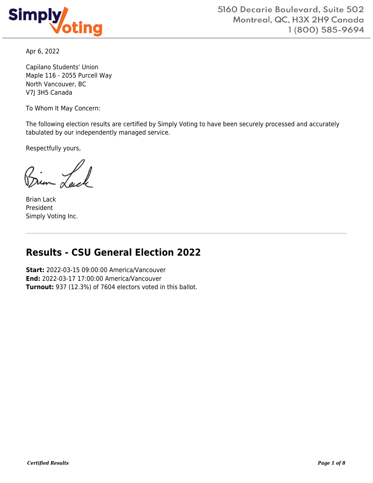

Apr 6, 2022

Capilano Students' Union Maple 116 - 2055 Purcell Way North Vancouver, BC V7J 3H5 Canada

To Whom It May Concern:

The following election results are certified by Simply Voting to have been securely processed and accurately tabulated by our independently managed service.

Respectfully yours,

Brian Lack President Simply Voting Inc.

# **Results - CSU General Election 2022**

**Start:** 2022-03-15 09:00:00 America/Vancouver **End:** 2022-03-17 17:00:00 America/Vancouver **Turnout:** 937 (12.3%) of 7604 electors voted in this ballot.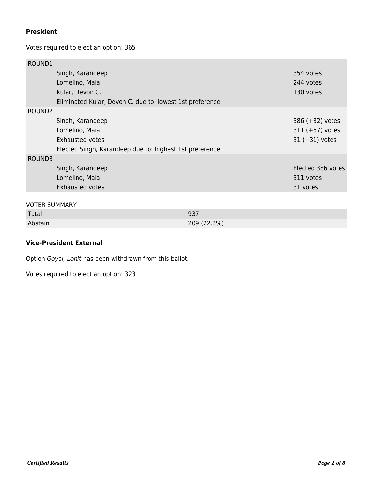### **President**

Votes required to elect an option: 365

| ROUND1               |                                                          |             |                   |
|----------------------|----------------------------------------------------------|-------------|-------------------|
|                      | Singh, Karandeep                                         |             | 354 votes         |
|                      | Lomelino, Maia                                           |             | 244 votes         |
|                      | Kular, Devon C.                                          |             | 130 votes         |
|                      | Eliminated Kular, Devon C. due to: lowest 1st preference |             |                   |
| ROUND <sub>2</sub>   |                                                          |             |                   |
|                      | Singh, Karandeep                                         |             | 386 (+32) votes   |
|                      | Lomelino, Maia                                           |             | $311 (+67)$ votes |
|                      | <b>Exhausted votes</b>                                   |             | $31 (+31)$ votes  |
|                      | Elected Singh, Karandeep due to: highest 1st preference  |             |                   |
| ROUND3               |                                                          |             |                   |
|                      | Singh, Karandeep                                         |             | Elected 386 votes |
|                      | Lomelino, Maia                                           |             | 311 votes         |
|                      | <b>Exhausted votes</b>                                   |             | 31 votes          |
|                      |                                                          |             |                   |
| <b>VOTER SUMMARY</b> |                                                          |             |                   |
| Total                |                                                          | 937         |                   |
| Abstain              |                                                          | 209 (22.3%) |                   |

### **Vice-President External**

Option Goyal, Lohit has been withdrawn from this ballot.

Votes required to elect an option: 323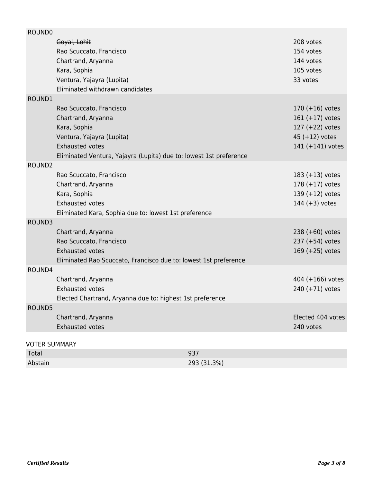| ROUND0                               |                                                                                                                                                                                            |     |                                                                                                   |
|--------------------------------------|--------------------------------------------------------------------------------------------------------------------------------------------------------------------------------------------|-----|---------------------------------------------------------------------------------------------------|
|                                      | Goyal, Lohit<br>Rao Scuccato, Francisco<br>Chartrand, Aryanna<br>Kara, Sophia<br>Ventura, Yajayra (Lupita)<br>Eliminated withdrawn candidates                                              |     | 208 votes<br>154 votes<br>144 votes<br>105 votes<br>33 votes                                      |
| ROUND1                               |                                                                                                                                                                                            |     |                                                                                                   |
|                                      | Rao Scuccato, Francisco<br>Chartrand, Aryanna<br>Kara, Sophia<br>Ventura, Yajayra (Lupita)<br><b>Exhausted votes</b><br>Eliminated Ventura, Yajayra (Lupita) due to: lowest 1st preference |     | 170 $(+16)$ votes<br>$161 (+17)$ votes<br>127 (+22) votes<br>45 $(+12)$ votes<br>141 (+141) votes |
| ROUND <sub>2</sub>                   |                                                                                                                                                                                            |     |                                                                                                   |
|                                      | Rao Scuccato, Francisco<br>Chartrand, Aryanna<br>Kara, Sophia<br><b>Exhausted votes</b><br>Eliminated Kara, Sophia due to: lowest 1st preference                                           |     | $183 (+13)$ votes<br>$178 (+17)$ votes<br>139 (+12) votes<br>144 $(+3)$ votes                     |
| ROUND3                               |                                                                                                                                                                                            |     |                                                                                                   |
|                                      | Chartrand, Aryanna<br>Rao Scuccato, Francisco<br><b>Exhausted votes</b><br>Eliminated Rao Scuccato, Francisco due to: lowest 1st preference                                                |     | 238 (+60) votes<br>237 (+54) votes<br>169 $(+25)$ votes                                           |
| ROUND4                               |                                                                                                                                                                                            |     |                                                                                                   |
|                                      | Chartrand, Aryanna<br><b>Exhausted votes</b><br>Elected Chartrand, Aryanna due to: highest 1st preference                                                                                  |     | 404 (+166) votes<br>240 (+71) votes                                                               |
| ROUND5                               |                                                                                                                                                                                            |     |                                                                                                   |
|                                      | Chartrand, Aryanna<br><b>Exhausted votes</b>                                                                                                                                               |     | Elected 404 votes<br>240 votes                                                                    |
|                                      |                                                                                                                                                                                            |     |                                                                                                   |
| <b>VOTER SUMMARY</b><br><b>Total</b> |                                                                                                                                                                                            | 937 |                                                                                                   |
|                                      |                                                                                                                                                                                            |     |                                                                                                   |

| <b>TULCI</b> | <b>JJ</b>   |
|--------------|-------------|
| Abstain      | 293 (31.3%) |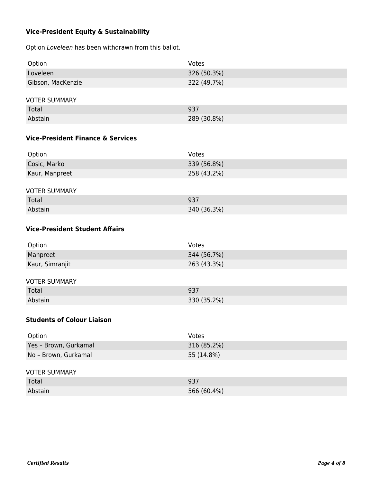## **Vice-President Equity & Sustainability**

Option Loveleen has been withdrawn from this ballot.

| Option               | Votes       |  |
|----------------------|-------------|--|
| Loveleen             | 326 (50.3%) |  |
| Gibson, MacKenzie    | 322 (49.7%) |  |
|                      |             |  |
| <b>VOTER SUMMARY</b> |             |  |
| Total                | 937         |  |
| Abstain              | 289 (30.8%) |  |

### **Vice-President Finance & Services**

| Option               | Votes       |  |
|----------------------|-------------|--|
| Cosic, Marko         | 339 (56.8%) |  |
| Kaur, Manpreet       | 258 (43.2%) |  |
|                      |             |  |
| <b>VOTER SUMMARY</b> |             |  |
| Total                | 937         |  |
| Abstain              | 340 (36.3%) |  |

### **Vice-President Student Affairs**

| Option               | Votes       |  |
|----------------------|-------------|--|
| Manpreet             | 344 (56.7%) |  |
| Kaur, Simranjit      | 263 (43.3%) |  |
|                      |             |  |
| <b>VOTER SUMMARY</b> |             |  |

| Total   | 937         |
|---------|-------------|
| Abstain | 330 (35.2%) |

### **Students of Colour Liaison**

| Option                | Votes       |
|-----------------------|-------------|
| Yes - Brown, Gurkamal | 316 (85.2%) |
| No - Brown, Gurkamal  | 55 (14.8%)  |

### VOTER SUMMARY

| Total   | 937         |
|---------|-------------|
| Abstain | 566 (60.4%) |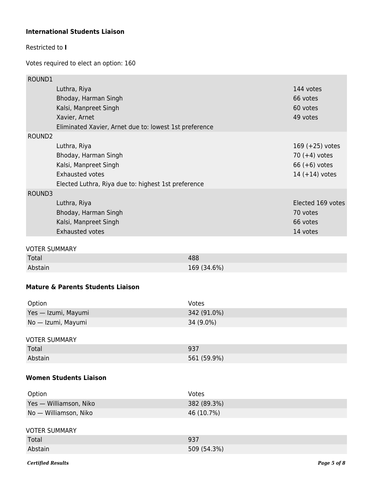### **International Students Liaison**

### Restricted to **I**

Votes required to elect an option: 160

| ROUND1             |                                                        |                   |
|--------------------|--------------------------------------------------------|-------------------|
|                    | Luthra, Riya                                           | 144 votes         |
|                    | Bhoday, Harman Singh                                   | 66 votes          |
|                    | Kalsi, Manpreet Singh                                  | 60 votes          |
|                    | Xavier, Arnet                                          | 49 votes          |
|                    | Eliminated Xavier, Arnet due to: lowest 1st preference |                   |
| ROUND <sub>2</sub> |                                                        |                   |
|                    | Luthra, Riya                                           | 169 $(+25)$ votes |
|                    | Bhoday, Harman Singh                                   | 70 $(+4)$ votes   |
|                    | Kalsi, Manpreet Singh                                  | 66 $(+6)$ votes   |
|                    | <b>Exhausted votes</b>                                 | $14 (+14)$ votes  |
|                    | Elected Luthra, Riya due to: highest 1st preference    |                   |
| ROUND3             |                                                        |                   |
|                    | Luthra, Riya                                           | Elected 169 votes |
|                    | Bhoday, Harman Singh                                   | 70 votes          |
|                    | Kalsi, Manpreet Singh                                  | 66 votes          |
|                    | <b>Exhausted votes</b>                                 | 14 votes          |
|                    |                                                        |                   |

### VOTER SUMMARY

| Total   | 488         |
|---------|-------------|
| Abstain | 169 (34.6%) |

## **Mature & Parents Students Liaison**

| Option              | Votes       |
|---------------------|-------------|
| Yes — Izumi, Mayumi | 342 (91.0%) |
| No — Izumi, Mayumi  | 34 (9.0%)   |
|                     |             |

| Total   | 937         |
|---------|-------------|
| Abstain | 561 (59.9%) |

### **Women Students Liaison**

| Option                 | Votes       |
|------------------------|-------------|
| Yes - Williamson, Niko | 382 (89.3%) |
| No - Williamson, Niko  | 46 (10.7%)  |
|                        |             |
| <b>VOTER SUMMARY</b>   |             |
| Total                  | 937         |
| Abstain                | 509 (54.3%) |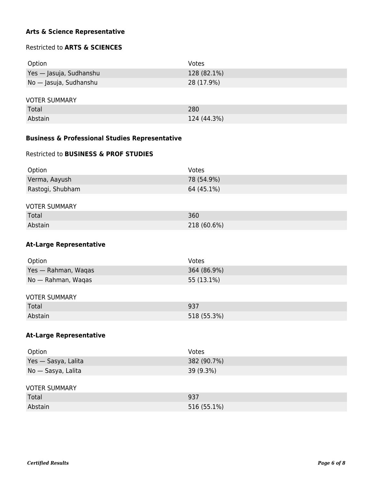### **Arts & Science Representative**

### Restricted to **ARTS & SCIENCES**

| Option                  | Votes       |
|-------------------------|-------------|
| Yes — Jasuja, Sudhanshu | 128 (82.1%) |
| No — Jasuja, Sudhanshu  | 28 (17.9%)  |
| <b>VOTER SUMMARY</b>    |             |
| Total                   | 280         |
| Abstain                 | 124 (44.3%) |

### **Business & Professional Studies Representative**

### Restricted to **BUSINESS & PROF STUDIES**

| Option           | Votes      |
|------------------|------------|
| Verma, Aayush    | 78 (54.9%) |
| Rastogi, Shubham | 64 (45.1%) |

## VOTER SUMMARY

| Total   | 360         |
|---------|-------------|
| Abstain | 218 (60.6%) |

### **At-Large Representative**

| Option              | Votes       |
|---------------------|-------------|
| Yes — Rahman, Waqas | 364 (86.9%) |
| No — Rahman, Waqas  | 55 (13.1%)  |
|                     |             |

### VOTER SUMMARY

| Total   | 027<br>וככ  |
|---------|-------------|
| Abstain | 518 (55.3%) |

### **At-Large Representative**

| Option               | Votes       |
|----------------------|-------------|
| Yes - Sasya, Lalita  | 382 (90.7%) |
| No - Sasya, Lalita   | 39 (9.3%)   |
|                      |             |
| <b>VOTER SUMMARY</b> |             |
| Total                | 937         |
| Abstain              | 516 (55.1%) |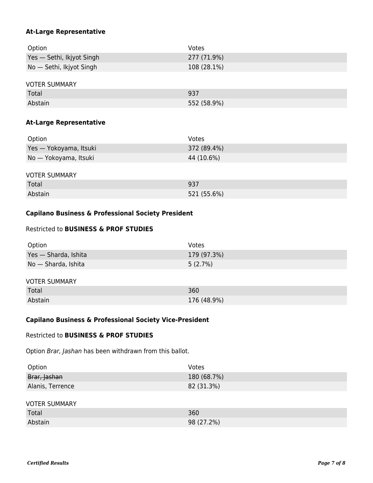### **At-Large Representative**

| Option                    | Votes       |
|---------------------------|-------------|
| Yes - Sethi, Ikjyot Singh | 277 (71.9%) |
| No — Sethi, Ikjyot Singh  | 108 (28.1%) |
|                           |             |

### VOTER SUMMARY

| Total   | 937         |
|---------|-------------|
| Abstain | 552 (58.9%) |

### **At-Large Representative**

| Option                 | Votes       |
|------------------------|-------------|
| Yes - Yokoyama, Itsuki | 372 (89.4%) |
| No — Yokoyama, Itsuki  | 44 (10.6%)  |

#### VOTER SUMMARY

| Total   | 937         |
|---------|-------------|
| Abstain | 521 (55.6%) |

### **Capilano Business & Professional Society President**

### Restricted to **BUSINESS & PROF STUDIES**

| Option               | Votes       |
|----------------------|-------------|
| Yes - Sharda, Ishita | 179 (97.3%) |
| No - Sharda, Ishita  | 5(2.7%)     |
|                      |             |
| <b>VOTER SUMMARY</b> |             |
| Total                | 360         |
| Abstain              | 176 (48.9%) |

### **Capilano Business & Professional Society Vice-President**

#### Restricted to **BUSINESS & PROF STUDIES**

Option Brar, Jashan has been withdrawn from this ballot.

| Option               | Votes       |
|----------------------|-------------|
| Brar, Jashan         | 180 (68.7%) |
| Alanis, Terrence     | 82 (31.3%)  |
|                      |             |
| <b>VOTER SUMMARY</b> |             |
| Total                | 360         |
| Abstain              | 98 (27.2%)  |